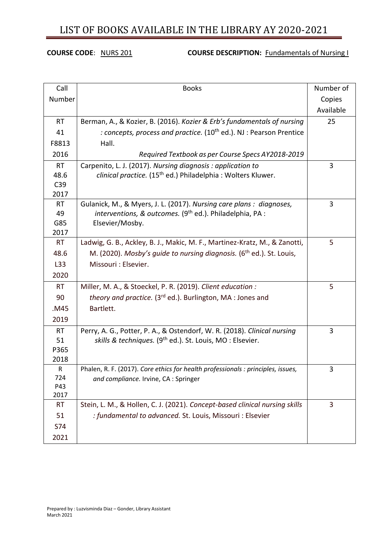## **COURSE CODE:** NURS 201 **COURSE DESCRIPTION: Fundamentals of Nursing I**

| Call         | <b>Books</b>                                                                     | Number of |
|--------------|----------------------------------------------------------------------------------|-----------|
| Number       |                                                                                  | Copies    |
|              |                                                                                  | Available |
| <b>RT</b>    | Berman, A., & Kozier, B. (2016). Kozier & Erb's fundamentals of nursing          | 25        |
| 41           | : concepts, process and practice. (10 <sup>th</sup> ed.). NJ: Pearson Prentice   |           |
| F8813        | Hall.                                                                            |           |
| 2016         | Required Textbook as per Course Specs AY2018-2019                                |           |
| <b>RT</b>    | Carpenito, L. J. (2017). Nursing diagnosis: application to                       | 3         |
| 48.6         | clinical practice. (15 <sup>th</sup> ed.) Philadelphia: Wolters Kluwer.          |           |
| C39          |                                                                                  |           |
| 2017         |                                                                                  |           |
| <b>RT</b>    | Gulanick, M., & Myers, J. L. (2017). Nursing care plans : diagnoses,             | 3         |
| 49           | interventions, & outcomes. (9 <sup>th</sup> ed.). Philadelphia, PA :             |           |
| G85          | Elsevier/Mosby.                                                                  |           |
| 2017         |                                                                                  |           |
| RT           | Ladwig, G. B., Ackley, B. J., Makic, M. F., Martinez-Kratz, M., & Zanotti,       | 5         |
| 48.6         | M. (2020). Mosby's quide to nursing diagnosis. (6 <sup>th</sup> ed.). St. Louis, |           |
| L33          | Missouri : Elsevier.                                                             |           |
| 2020         |                                                                                  |           |
| <b>RT</b>    | Miller, M. A., & Stoeckel, P. R. (2019). Client education :                      | 5         |
| 90           | theory and practice. (3 <sup>rd</sup> ed.). Burlington, MA : Jones and           |           |
| .M45         | Bartlett.                                                                        |           |
| 2019         |                                                                                  |           |
| <b>RT</b>    | Perry, A. G., Potter, P. A., & Ostendorf, W. R. (2018). Clinical nursing         | 3         |
| 51           | skills & techniques. (9 <sup>th</sup> ed.). St. Louis, MO: Elsevier.             |           |
| P365         |                                                                                  |           |
| 2018         |                                                                                  |           |
| $\mathsf{R}$ | Phalen, R. F. (2017). Core ethics for health professionals : principles, issues, | 3         |
| 724          | and compliance. Irvine, CA : Springer                                            |           |
| P43<br>2017  |                                                                                  |           |
| <b>RT</b>    | Stein, L. M., & Hollen, C. J. (2021). Concept-based clinical nursing skills      | 3         |
| 51           | : fundamental to advanced. St. Louis, Missouri : Elsevier                        |           |
|              |                                                                                  |           |
| S74          |                                                                                  |           |
| 2021         |                                                                                  |           |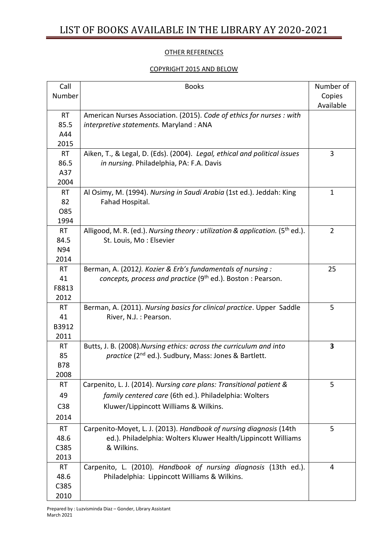### OTHER REFERENCES

## COPYRIGHT 2015 AND BELOW

| Call       | <b>Books</b>                                                                       | Number of      |
|------------|------------------------------------------------------------------------------------|----------------|
| Number     |                                                                                    | Copies         |
|            |                                                                                    | Available      |
| <b>RT</b>  | American Nurses Association. (2015). Code of ethics for nurses : with              |                |
| 85.5       | interpretive statements. Maryland: ANA                                             |                |
| A44        |                                                                                    |                |
| 2015       |                                                                                    |                |
| <b>RT</b>  | Aiken, T., & Legal, D. (Eds). (2004). Legal, ethical and political issues          | 3              |
| 86.5       | in nursing. Philadelphia, PA: F.A. Davis                                           |                |
| A37        |                                                                                    |                |
| 2004       |                                                                                    |                |
| <b>RT</b>  | Al Osimy, M. (1994). Nursing in Saudi Arabia (1st ed.). Jeddah: King               | $\mathbf{1}$   |
| 82         | Fahad Hospital.                                                                    |                |
| O85        |                                                                                    |                |
| 1994       |                                                                                    |                |
| <b>RT</b>  | Alligood, M. R. (ed.). Nursing theory : utilization & application. $(5^{th}$ ed.). | $\overline{2}$ |
| 84.5       | St. Louis, Mo: Elsevier                                                            |                |
| N94        |                                                                                    |                |
| 2014       |                                                                                    |                |
| <b>RT</b>  | Berman, A. (2012). Kozier & Erb's fundamentals of nursing:                         | 25             |
| 41         | concepts, process and practice (9 <sup>th</sup> ed.). Boston : Pearson.            |                |
| F8813      |                                                                                    |                |
| 2012       |                                                                                    |                |
| <b>RT</b>  | Berman, A. (2011). Nursing basics for clinical practice. Upper Saddle              | 5              |
| 41         | River, N.J.: Pearson.                                                              |                |
| B3912      |                                                                                    |                |
| 2011       |                                                                                    |                |
| <b>RT</b>  | Butts, J. B. (2008). Nursing ethics: across the curriculum and into                | 3              |
| 85         | practice (2 <sup>nd</sup> ed.). Sudbury, Mass: Jones & Bartlett.                   |                |
| <b>B78</b> |                                                                                    |                |
| 2008       |                                                                                    |                |
| RT         | Carpenito, L. J. (2014). Nursing care plans: Transitional patient &                | 5              |
| 49         | family centered care (6th ed.). Philadelphia: Wolters                              |                |
| C38        | Kluwer/Lippincott Williams & Wilkins.                                              |                |
| 2014       |                                                                                    |                |
| <b>RT</b>  | Carpenito-Moyet, L. J. (2013). Handbook of nursing diagnosis (14th                 | 5              |
| 48.6       | ed.). Philadelphia: Wolters Kluwer Health/Lippincott Williams                      |                |
| C385       | & Wilkins.                                                                         |                |
| 2013       |                                                                                    |                |
| <b>RT</b>  | Carpenito, L. (2010). Handbook of nursing diagnosis (13th ed.).                    | 4              |
| 48.6       | Philadelphia: Lippincott Williams & Wilkins.                                       |                |
| C385       |                                                                                    |                |
| 2010       |                                                                                    |                |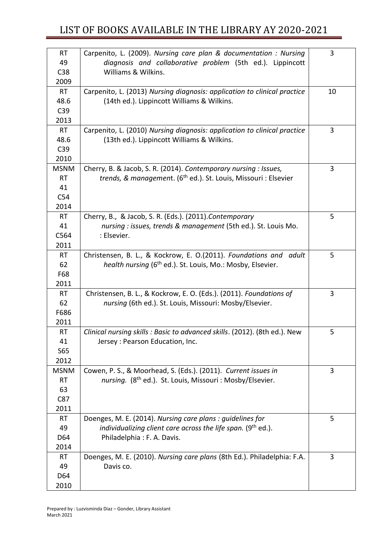| <b>RT</b>   | Carpenito, L. (2009). Nursing care plan & documentation : Nursing           | 3  |
|-------------|-----------------------------------------------------------------------------|----|
| 49          | diagnosis and collaborative problem (5th ed.). Lippincott                   |    |
| C38         | Williams & Wilkins.                                                         |    |
| 2009        |                                                                             |    |
| <b>RT</b>   | Carpenito, L. (2013) Nursing diagnosis: application to clinical practice    | 10 |
| 48.6        | (14th ed.). Lippincott Williams & Wilkins.                                  |    |
| C39         |                                                                             |    |
| 2013        |                                                                             |    |
| <b>RT</b>   | Carpenito, L. (2010) Nursing diagnosis: application to clinical practice    | 3  |
| 48.6        | (13th ed.). Lippincott Williams & Wilkins.                                  |    |
| C39         |                                                                             |    |
| 2010        |                                                                             |    |
| <b>MSNM</b> | Cherry, B. & Jacob, S. R. (2014). Contemporary nursing : Issues,            | 3  |
| <b>RT</b>   | trends, & management. (6 <sup>th</sup> ed.). St. Louis, Missouri : Elsevier |    |
| 41          |                                                                             |    |
| C54         |                                                                             |    |
| 2014        |                                                                             |    |
| <b>RT</b>   | Cherry, B., & Jacob, S. R. (Eds.). (2011). Contemporary                     | 5  |
| 41          | nursing : issues, trends & management (5th ed.). St. Louis Mo.              |    |
| C564        | : Elsevier.                                                                 |    |
| 2011        |                                                                             |    |
| <b>RT</b>   | Christensen, B. L., & Kockrow, E. O.(2011). Foundations and adult           | 5  |
| 62          | health nursing (6 <sup>th</sup> ed.). St. Louis, Mo.: Mosby, Elsevier.      |    |
| F68         |                                                                             |    |
| 2011        |                                                                             |    |
| <b>RT</b>   | Christensen, B. L., & Kockrow, E. O. (Eds.). (2011). Foundations of         | 3  |
| 62          | nursing (6th ed.). St. Louis, Missouri: Mosby/Elsevier.                     |    |
| F686        |                                                                             |    |
| 2011        |                                                                             |    |
| <b>RT</b>   | Clinical nursing skills : Basic to advanced skills. (2012). (8th ed.). New  | 5  |
| 41          | Jersey : Pearson Education, Inc.                                            |    |
| S65         |                                                                             |    |
| 2012        |                                                                             |    |
| <b>MSNM</b> | Cowen, P. S., & Moorhead, S. (Eds.). (2011). Current issues in              | 3  |
| <b>RT</b>   | nursing. (8 <sup>th</sup> ed.). St. Louis, Missouri: Mosby/Elsevier.        |    |
| 63          |                                                                             |    |
| C87         |                                                                             |    |
| 2011        |                                                                             |    |
| <b>RT</b>   | Doenges, M. E. (2014). Nursing care plans: quidelines for                   | 5  |
| 49          | individualizing client care across the life span. (9 <sup>th</sup> ed.).    |    |
| D64         | Philadelphia: F. A. Davis.                                                  |    |
| 2014        |                                                                             |    |
| <b>RT</b>   | Doenges, M. E. (2010). Nursing care plans (8th Ed.). Philadelphia: F.A.     | 3  |
| 49          | Davis co.                                                                   |    |
| D64         |                                                                             |    |
| 2010        |                                                                             |    |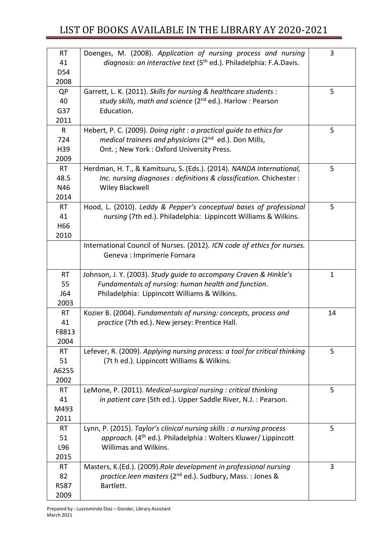| <b>RT</b>       | Doenges, M. (2008). Application of nursing process and nursing                 | 3            |
|-----------------|--------------------------------------------------------------------------------|--------------|
| 41              | diagnosis: an interactive text (5 <sup>th</sup> ed.). Philadelphia: F.A.Davis. |              |
| D54             |                                                                                |              |
| 2008            |                                                                                |              |
| QP              | Garrett, L. K. (2011). Skills for nursing & healthcare students :              | 5            |
| 40              | study skills, math and science (2 <sup>nd</sup> ed.). Harlow: Pearson          |              |
| G37             | Education.                                                                     |              |
| 2011            |                                                                                |              |
| R               | Hebert, P. C. (2009). Doing right : a practical guide to ethics for            | 5            |
| 724             | medical trainees and physicians (2 <sup>nd</sup> ed.). Don Mills,              |              |
| H39             | Ont.; New York: Oxford University Press.                                       |              |
| 2009            |                                                                                |              |
| <b>RT</b>       | Herdman, H. T., & Kamitsuru, S. (Eds.). (2014). NANDA International,           | 5            |
| 48.5            | Inc. nursing diagnoses : definitions & classification. Chichester :            |              |
| N46             | Wiley Blackwell                                                                |              |
| 2014            |                                                                                |              |
| <b>RT</b>       | Hood, L. (2010). Leddy & Pepper's conceptual bases of professional             | 5            |
| 41              | nursing (7th ed.). Philadelphia: Lippincott Williams & Wilkins.                |              |
| H <sub>66</sub> |                                                                                |              |
| 2010            |                                                                                |              |
|                 | International Council of Nurses. (2012). ICN code of ethics for nurses.        |              |
|                 | Geneva : Imprimerie Fornara                                                    |              |
|                 |                                                                                |              |
| <b>RT</b>       | Johnson, J. Y. (2003). Study guide to accompany Craven & Hinkle's              | $\mathbf{1}$ |
| 55              | Fundamentals of nursing: human health and function.                            |              |
| J64             | Philadelphia: Lippincott Williams & Wilkins.                                   |              |
| 2003            |                                                                                |              |
| <b>RT</b>       | Kozier B. (2004). Fundamentals of nursing: concepts, process and               | 14           |
| 41              | practice (7th ed.). New jersey: Prentice Hall.                                 |              |
| F8813           |                                                                                |              |
| 2004            |                                                                                |              |
| <b>RT</b>       | Lefever, R. (2009). Applying nursing process: a tool for critical thinking     | 5            |
| 51              | (7t h ed.). Lippincott Williams & Wilkins.                                     |              |
| A6255           |                                                                                |              |
| 2002            |                                                                                |              |
| <b>RT</b>       | LeMone, P. (2011). Medical-surgical nursing : critical thinking                | 5            |
| 41              | in patient care (5th ed.). Upper Saddle River, N.J. : Pearson.                 |              |
| M493            |                                                                                |              |
| 2011            |                                                                                |              |
| <b>RT</b>       | Lynn, P. (2015). Taylor's clinical nursing skills : a nursing process          | 5            |
| 51              | approach. (4 <sup>th</sup> ed.). Philadelphia: Wolters Kluwer/ Lippincott      |              |
| L96             | Willimas and Wilkins.                                                          |              |
| 2015            |                                                                                |              |
| <b>RT</b>       | Masters, K.(Ed.). (2009).Role development in professional nursing              | 3            |
| 82              | practice.leen masters (2 <sup>nd</sup> ed.). Sudbury, Mass.: Jones &           |              |
| R587            | Bartlett.                                                                      |              |
| 2009            |                                                                                |              |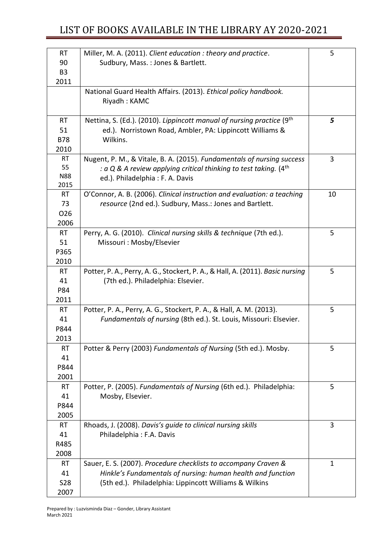| <b>RT</b>          | Miller, M. A. (2011). Client education : theory and practice.                     | 5  |
|--------------------|-----------------------------------------------------------------------------------|----|
| 90                 | Sudbury, Mass.: Jones & Bartlett.                                                 |    |
| B <sub>3</sub>     |                                                                                   |    |
| 2011               |                                                                                   |    |
|                    | National Guard Health Affairs. (2013). Ethical policy handbook.                   |    |
|                    | Riyadh: KAMC                                                                      |    |
|                    |                                                                                   |    |
| <b>RT</b>          | Nettina, S. (Ed.). (2010). Lippincott manual of nursing practice (9 <sup>th</sup> | 5  |
| 51                 | ed.). Norristown Road, Ambler, PA: Lippincott Williams &                          |    |
| <b>B78</b><br>2010 | Wilkins.                                                                          |    |
| <b>RT</b>          | Nugent, P. M., & Vitale, B. A. (2015). Fundamentals of nursing success            | 3  |
| 55                 | : a Q & A review applying critical thinking to test taking. (4 <sup>th</sup>      |    |
| <b>N88</b>         | ed.). Philadelphia: F. A. Davis                                                   |    |
| 2015               |                                                                                   |    |
| <b>RT</b>          | O'Connor, A. B. (2006). Clinical instruction and evaluation: a teaching           | 10 |
| 73                 | resource (2nd ed.). Sudbury, Mass.: Jones and Bartlett.                           |    |
| O <sub>26</sub>    |                                                                                   |    |
| 2006               |                                                                                   |    |
| <b>RT</b>          | Perry, A. G. (2010). Clinical nursing skills & technique (7th ed.).               | 5  |
| 51                 | Missouri: Mosby/Elsevier                                                          |    |
| P365               |                                                                                   |    |
| 2010               |                                                                                   |    |
| <b>RT</b>          | Potter, P. A., Perry, A. G., Stockert, P. A., & Hall, A. (2011). Basic nursing    | 5  |
| 41                 | (7th ed.). Philadelphia: Elsevier.                                                |    |
| P84                |                                                                                   |    |
| 2011               |                                                                                   |    |
| <b>RT</b>          | Potter, P. A., Perry, A. G., Stockert, P. A., & Hall, A. M. (2013).               | 5  |
| 41                 | Fundamentals of nursing (8th ed.). St. Louis, Missouri: Elsevier.                 |    |
| P844               |                                                                                   |    |
| 2013               |                                                                                   |    |
| <b>RT</b><br>41    | Potter & Perry (2003) Fundamentals of Nursing (5th ed.). Mosby.                   | 5  |
| P844               |                                                                                   |    |
| 2001               |                                                                                   |    |
| <b>RT</b>          | Potter, P. (2005). Fundamentals of Nursing (6th ed.). Philadelphia:               | 5  |
| 41                 | Mosby, Elsevier.                                                                  |    |
| P844               |                                                                                   |    |
| 2005               |                                                                                   |    |
| <b>RT</b>          | Rhoads, J. (2008). Davis's guide to clinical nursing skills                       | 3  |
| 41                 | Philadelphia: F.A. Davis                                                          |    |
| R485               |                                                                                   |    |
| 2008               |                                                                                   |    |
| RT                 | Sauer, E. S. (2007). Procedure checklists to accompany Craven &                   | 1  |
| 41                 | Hinkle's Fundamentals of nursing: human health and function                       |    |
| <b>S28</b>         | (5th ed.). Philadelphia: Lippincott Williams & Wilkins                            |    |
| 2007               |                                                                                   |    |